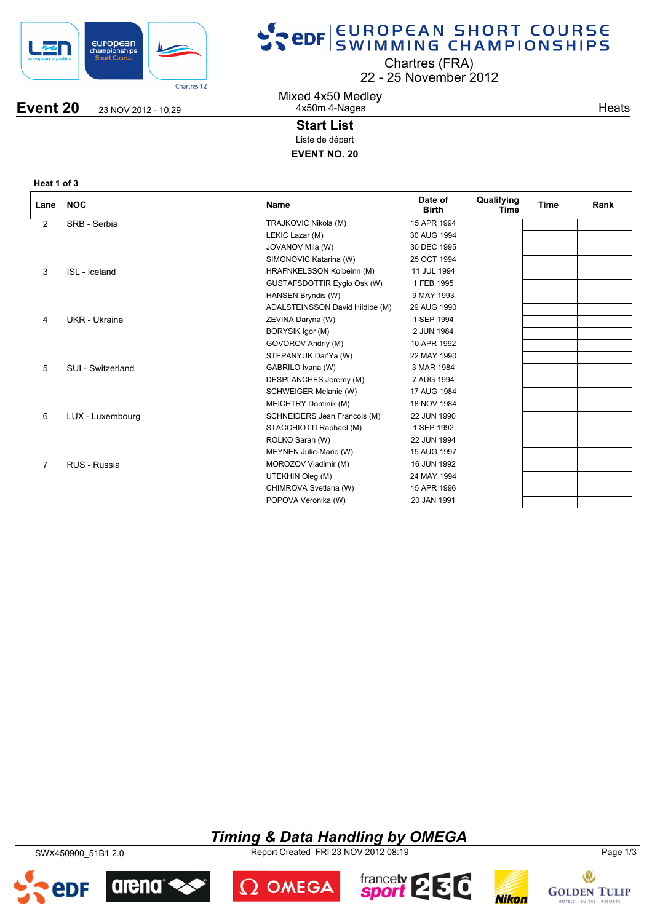

# SPOR EUROPEAN SHORT COURSE

Chartres (FRA)

22 25 November 2012

**Event 20** 23 NOV 2012 - 10:29

Mixed 4x50 Medley 4x50m 4-Nages

**Heats** 

### **Start List**

Liste de départ

**EVENT NO. 20**

**Heat 1 of 3**

| Lane           | <b>NOC</b>        | <b>Name</b>                     | Date of<br><b>Birth</b> | Qualifying<br>Time | <b>Time</b> | Rank |
|----------------|-------------------|---------------------------------|-------------------------|--------------------|-------------|------|
| $\overline{2}$ | SRB - Serbia      | <b>TRAJKOVIC Nikola (M)</b>     | 15 APR 1994             |                    |             |      |
|                |                   | LEKIC Lazar (M)                 | 30 AUG 1994             |                    |             |      |
|                |                   | JOVANOV Mila (W)                | 30 DEC 1995             |                    |             |      |
|                |                   | SIMONOVIC Katarina (W)          | 25 OCT 1994             |                    |             |      |
| 3              | ISL - Iceland     | HRAFNKELSSON Kolbeinn (M)       | 11 JUL 1994             |                    |             |      |
|                |                   | GUSTAFSDOTTIR Eyglo Osk (W)     | 1 FEB 1995              |                    |             |      |
|                |                   | HANSEN Bryndis (W)              | 9 MAY 1993              |                    |             |      |
|                |                   | ADALSTEINSSON David Hildibe (M) | 29 AUG 1990             |                    |             |      |
| 4              | UKR - Ukraine     | ZEVINA Daryna (W)               | 1 SEP 1994              |                    |             |      |
|                |                   | BORYSIK Igor (M)                | 2 JUN 1984              |                    |             |      |
|                |                   | GOVOROV Andriy (M)              | 10 APR 1992             |                    |             |      |
|                |                   | STEPANYUK Dar'Ya (W)            | 22 MAY 1990             |                    |             |      |
| 5              | SUI - Switzerland | GABRILO Ivana (W)               | 3 MAR 1984              |                    |             |      |
|                |                   | DESPLANCHES Jeremy (M)          | 7 AUG 1994              |                    |             |      |
|                |                   | SCHWEIGER Melanie (W)           | 17 AUG 1984             |                    |             |      |
|                |                   | MEICHTRY Dominik (M)            | 18 NOV 1984             |                    |             |      |
| 6              | LUX - Luxembourg  | SCHNEIDERS Jean Francois (M)    | 22 JUN 1990             |                    |             |      |
|                |                   | STACCHIOTTI Raphael (M)         | 1 SEP 1992              |                    |             |      |
|                |                   | ROLKO Sarah (W)                 | 22 JUN 1994             |                    |             |      |
|                |                   | MEYNEN Julie-Marie (W)          | 15 AUG 1997             |                    |             |      |
| $\overline{7}$ | RUS - Russia      | MOROZOV Vladimir (M)            | 16 JUN 1992             |                    |             |      |
|                |                   | UTEKHIN Oleg (M)                | 24 MAY 1994             |                    |             |      |
|                |                   | CHIMROVA Svetlana (W)           | 15 APR 1996             |                    |             |      |
|                |                   | POPOVA Veronika (W)             | 20 JAN 1991             |                    |             |      |

## *Timing & Data Handling by OMEGA*

SWX450900\_51B1 2.0 Report Created FRI 23 NOV 2012 08:19 Page 1/3









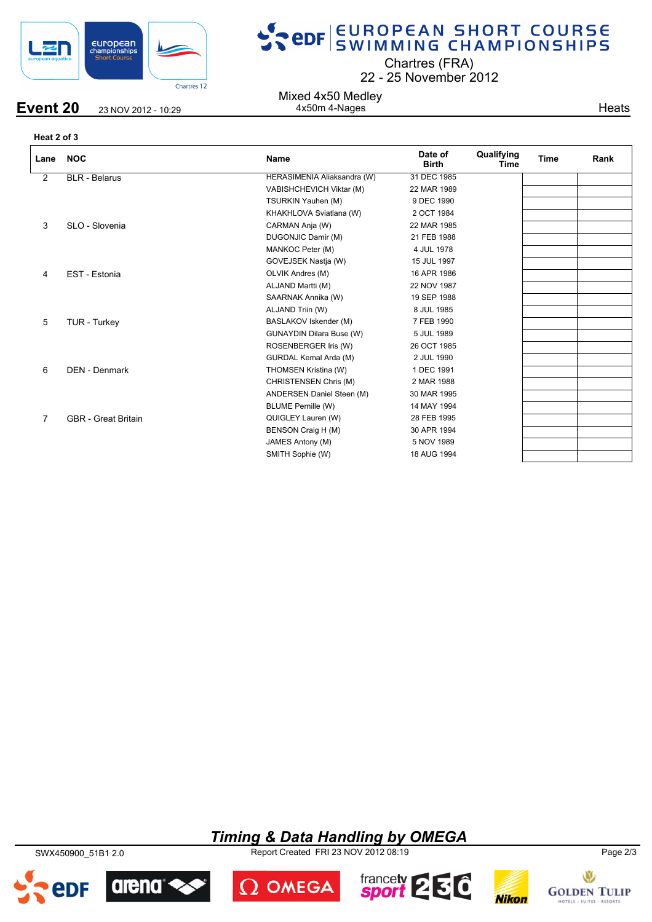

**Event 20** 23 NOV 2012 - 10:29

# SPOR SWIMMING CHAMPIONSHIPS

Chartres (FRA)

22 25 November 2012

Mixed 4x50 Medley 4x50m 4-Nages

**Heats** 

**Heat 2 of 3**

| Lane           | <b>NOC</b>                 | <b>Name</b>                     | Date of<br><b>Birth</b> | Qualifying<br>Time | <b>Time</b> | Rank |
|----------------|----------------------------|---------------------------------|-------------------------|--------------------|-------------|------|
| $\overline{2}$ | <b>BLR</b> - Belarus       | HERASIMENIA Aliaksandra (W)     | 31 DEC 1985             |                    |             |      |
|                |                            | VABISHCHEVICH Viktar (M)        | 22 MAR 1989             |                    |             |      |
|                |                            | TSURKIN Yauhen (M)              | 9 DEC 1990              |                    |             |      |
|                |                            | KHAKHLOVA Sviatlana (W)         | 2 OCT 1984              |                    |             |      |
| 3              | SLO - Slovenia             | CARMAN Anja (W)                 | 22 MAR 1985             |                    |             |      |
|                |                            | DUGONJIC Damir (M)              | 21 FEB 1988             |                    |             |      |
|                |                            | MANKOC Peter (M)                | 4 JUL 1978              |                    |             |      |
|                |                            | GOVEJSEK Nastja (W)             | 15 JUL 1997             |                    |             |      |
| 4              | EST - Estonia              | OLVIK Andres (M)                | 16 APR 1986             |                    |             |      |
|                |                            | ALJAND Martti (M)               | 22 NOV 1987             |                    |             |      |
|                |                            | SAARNAK Annika (W)              | 19 SEP 1988             |                    |             |      |
|                |                            | ALJAND Triin (W)                | 8 JUL 1985              |                    |             |      |
| 5              | TUR - Turkey               | BASLAKOV Iskender (M)           | 7 FEB 1990              |                    |             |      |
|                |                            | <b>GUNAYDIN Dilara Buse (W)</b> | 5 JUL 1989              |                    |             |      |
|                |                            | ROSENBERGER Iris (W)            | 26 OCT 1985             |                    |             |      |
|                |                            | GURDAL Kemal Arda (M)           | 2 JUL 1990              |                    |             |      |
| 6              | <b>DEN - Denmark</b>       | THOMSEN Kristina (W)            | 1 DEC 1991              |                    |             |      |
|                |                            | CHRISTENSEN Chris (M)           | 2 MAR 1988              |                    |             |      |
|                |                            | ANDERSEN Daniel Steen (M)       | 30 MAR 1995             |                    |             |      |
|                |                            | <b>BLUME Pernille (W)</b>       | 14 MAY 1994             |                    |             |      |
| 7              | <b>GBR</b> - Great Britain | QUIGLEY Lauren (W)              | 28 FEB 1995             |                    |             |      |
|                |                            | BENSON Craig H (M)              | 30 APR 1994             |                    |             |      |
|                |                            | JAMES Antony (M)                | 5 NOV 1989              |                    |             |      |
|                |                            | SMITH Sophie (W)                | 18 AUG 1994             |                    |             |      |
|                |                            |                                 |                         |                    |             |      |

### *Timing & Data Handling by OMEGA*

SWX450900\_51B1 2.0 Report Created FRI 23 NOV 2012 08:19 Page 2/3